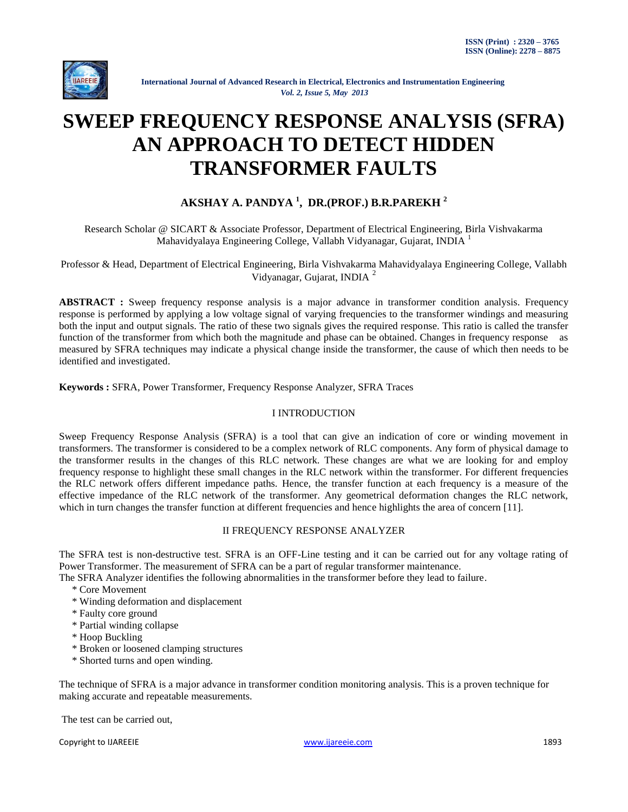

# **SWEEP FREQUENCY RESPONSE ANALYSIS (SFRA) AN APPROACH TO DETECT HIDDEN TRANSFORMER FAULTS**

# **AKSHAY A. PANDYA <sup>1</sup> , DR.(PROF.) B.R.PAREKH <sup>2</sup>**

Research Scholar @ SICART & Associate Professor, Department of Electrical Engineering, Birla Vishvakarma Mahavidyalaya Engineering College, Vallabh Vidyanagar, Gujarat, INDIA  $<sup>1</sup>$ </sup>

Professor & Head, Department of Electrical Engineering, Birla Vishvakarma Mahavidyalaya Engineering College, Vallabh Vidyanagar, Gujarat, INDIA <sup>2</sup>

**ABSTRACT :** Sweep frequency response analysis is a major advance in transformer condition analysis. Frequency response is performed by applying a low voltage signal of varying frequencies to the transformer windings and measuring both the input and output signals. The ratio of these two signals gives the required response. This ratio is called the transfer function of the transformer from which both the magnitude and phase can be obtained. Changes in frequency response as measured by SFRA techniques may indicate a physical change inside the transformer, the cause of which then needs to be identified and investigated.

**Keywords :** SFRA, Power Transformer, Frequency Response Analyzer, SFRA Traces

# I INTRODUCTION

Sweep Frequency Response Analysis (SFRA) is a tool that can give an indication of core or winding movement in transformers. The transformer is considered to be a complex network of RLC components. Any form of physical damage to the transformer results in the changes of this RLC network. These changes are what we are looking for and employ frequency response to highlight these small changes in the RLC network within the transformer. For different frequencies the RLC network offers different impedance paths. Hence, the transfer function at each frequency is a measure of the effective impedance of the RLC network of the transformer. Any geometrical deformation changes the RLC network, which in turn changes the transfer function at different frequencies and hence highlights the area of concern [11].

## II FREQUENCY RESPONSE ANALYZER

The SFRA test is non-destructive test. SFRA is an OFF-Line testing and it can be carried out for any voltage rating of Power Transformer. The measurement of SFRA can be a part of regular transformer maintenance.

The SFRA Analyzer identifies the following abnormalities in the transformer before they lead to failure.

- \* Core Movement
- \* Winding deformation and displacement
- \* Faulty core ground
- \* Partial winding collapse
- \* Hoop Buckling
- \* Broken or loosened clamping structures
- \* Shorted turns and open winding.

The technique of SFRA is a major advance in transformer condition monitoring analysis. This is a proven technique for making accurate and repeatable measurements.

The test can be carried out,

Copyright to IJAREEIE [www.ijareeie.com](http://www.ijareeie.com/) 1893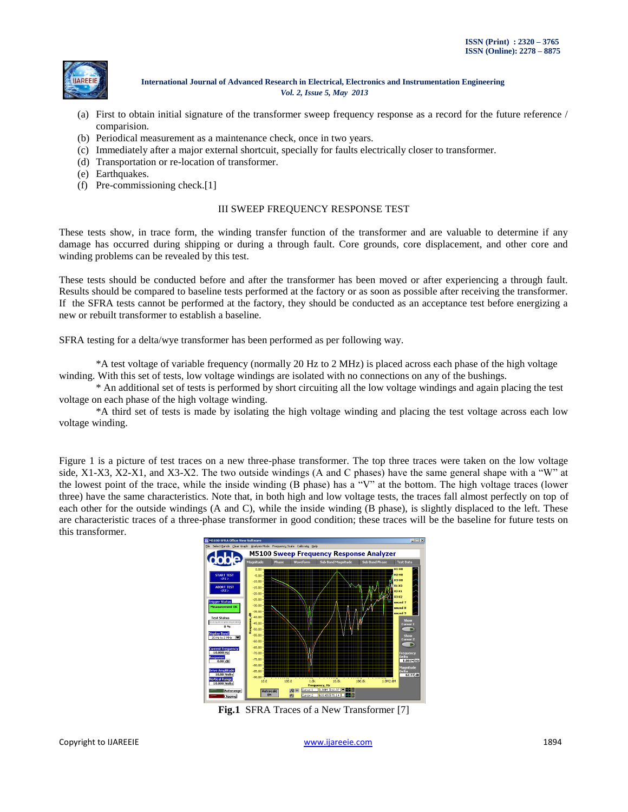

- (a) First to obtain initial signature of the transformer sweep frequency response as a record for the future reference / comparision.
- (b) Periodical measurement as a maintenance check, once in two years.
- (c) Immediately after a major external shortcuit, specially for faults electrically closer to transformer.
- (d) Transportation or re-location of transformer.
- (e) Earthquakes.
- (f) Pre-commissioning check.[1]

## III SWEEP FREQUENCY RESPONSE TEST

These tests show, in trace form, the winding transfer function of the transformer and are valuable to determine if any damage has occurred during shipping or during a through fault. Core grounds, core displacement, and other core and winding problems can be revealed by this test.

These tests should be conducted before and after the transformer has been moved or after experiencing a through fault. Results should be compared to baseline tests performed at the factory or as soon as possible after receiving the transformer. If the SFRA tests cannot be performed at the factory, they should be conducted as an acceptance test before energizing a new or rebuilt transformer to establish a baseline.

SFRA testing for a delta/wye transformer has been performed as per following way.

\*A test voltage of variable frequency (normally 20 Hz to 2 MHz) is placed across each phase of the high voltage winding. With this set of tests, low voltage windings are isolated with no connections on any of the bushings.

\* An additional set of tests is performed by short circuiting all the low voltage windings and again placing the test voltage on each phase of the high voltage winding.

\*A third set of tests is made by isolating the high voltage winding and placing the test voltage across each low voltage winding.

Figure 1 is a picture of test traces on a new three-phase transformer. The top three traces were taken on the low voltage side, X1-X3, X2-X1, and X3-X2. The two outside windings (A and C phases) have the same general shape with a "W" at the lowest point of the trace, while the inside winding (B phase) has a "V" at the bottom. The high voltage traces (lower three) have the same characteristics. Note that, in both high and low voltage tests, the traces fall almost perfectly on top of each other for the outside windings (A and C), while the inside winding (B phase), is slightly displaced to the left. These are characteristic traces of a three-phase transformer in good condition; these traces will be the baseline for future tests on this transformer.



**Fig.1** SFRA Traces of a New Transformer [7]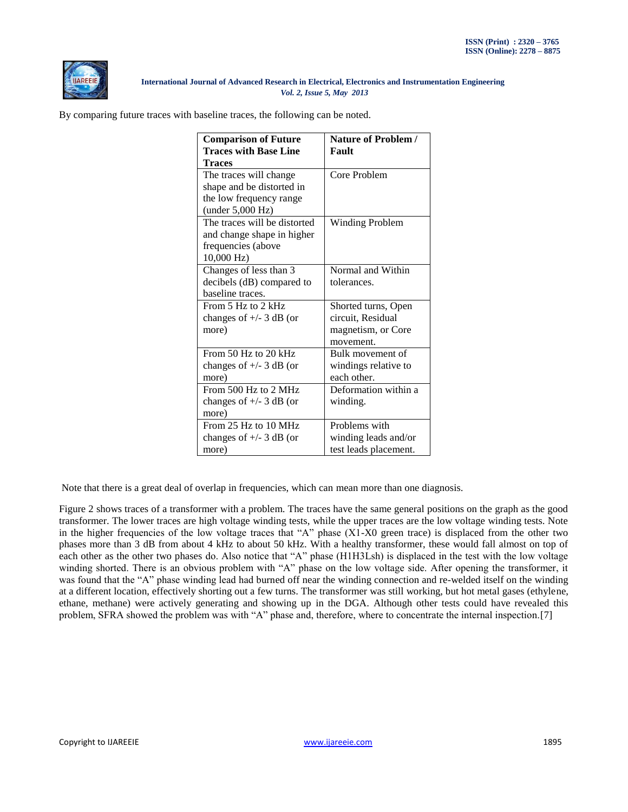

By comparing future traces with baseline traces, the following can be noted.

| <b>Comparison of Future</b>  | Nature of Problem /    |
|------------------------------|------------------------|
| <b>Traces with Base Line</b> | Fault                  |
| <b>Traces</b>                |                        |
| The traces will change       | Core Problem           |
| shape and be distorted in    |                        |
| the low frequency range      |                        |
| (under 5,000 Hz)             |                        |
| The traces will be distorted | <b>Winding Problem</b> |
| and change shape in higher   |                        |
| frequencies (above           |                        |
| $10,000$ Hz)                 |                        |
| Changes of less than 3       | Normal and Within      |
| decibels (dB) compared to    | tolerances.            |
| baseline traces.             |                        |
| From $5$ Hz to $2$ kHz       | Shorted turns, Open    |
| changes of $+/- 3$ dB (or    | circuit, Residual      |
| more)                        | magnetism, or Core     |
|                              | movement.              |
| From $50$ Hz to $20$ kHz     | Bulk movement of       |
| changes of $+/- 3$ dB (or    | windings relative to   |
| more)                        | each other.            |
| From 500 Hz to 2 MHz         | Deformation within a   |
| changes of $+/- 3$ dB (or    | winding.               |
| more)                        |                        |
| From $25$ Hz to $10$ MHz     | Problems with          |
| changes of $+/- 3$ dB (or    | winding leads and/or   |
| more)                        | test leads placement.  |

Note that there is a great deal of overlap in frequencies, which can mean more than one diagnosis.

Figure 2 shows traces of a transformer with a problem. The traces have the same general positions on the graph as the good transformer. The lower traces are high voltage winding tests, while the upper traces are the low voltage winding tests. Note in the higher frequencies of the low voltage traces that "A" phase (X1-X0 green trace) is displaced from the other two phases more than 3 dB from about 4 kHz to about 50 kHz. With a healthy transformer, these would fall almost on top of each other as the other two phases do. Also notice that "A" phase (H1H3Lsh) is displaced in the test with the low voltage winding shorted. There is an obvious problem with "A" phase on the low voltage side. After opening the transformer, it was found that the "A" phase winding lead had burned off near the winding connection and re-welded itself on the winding at a different location, effectively shorting out a few turns. The transformer was still working, but hot metal gases (ethylene, ethane, methane) were actively generating and showing up in the DGA. Although other tests could have revealed this problem, SFRA showed the problem was with "A" phase and, therefore, where to concentrate the internal inspection.[7]